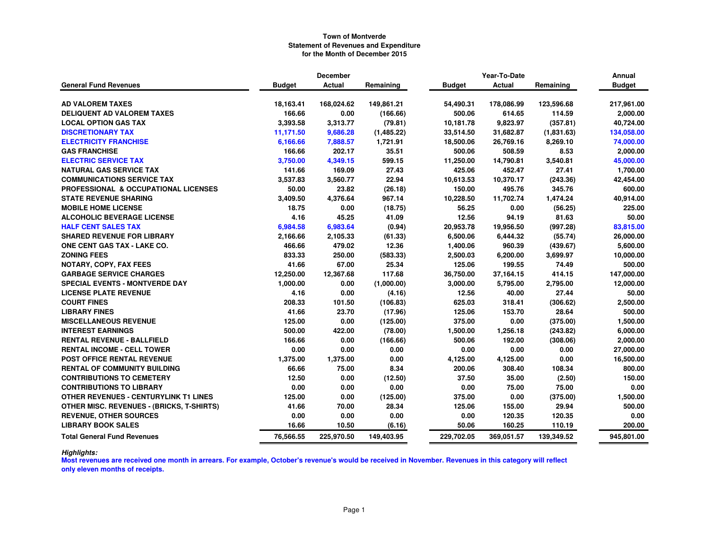|                                                  | <b>December</b> |            |            | Year-To-Date  | Annual     |            |               |
|--------------------------------------------------|-----------------|------------|------------|---------------|------------|------------|---------------|
| <b>General Fund Revenues</b>                     | <b>Budget</b>   | Actual     | Remaining  | <b>Budget</b> | Actual     | Remaining  | <b>Budget</b> |
|                                                  |                 |            |            |               |            |            |               |
| <b>AD VALOREM TAXES</b>                          | 18,163.41       | 168,024.62 | 149,861.21 | 54,490.31     | 178,086.99 | 123,596.68 | 217,961.00    |
| DELIQUENT AD VALOREM TAXES                       | 166.66          | 0.00       | (166.66)   | 500.06        | 614.65     | 114.59     | 2,000.00      |
| <b>LOCAL OPTION GAS TAX</b>                      | 3,393.58        | 3,313.77   | (79.81)    | 10,181.78     | 9,823.97   | (357.81)   | 40,724.00     |
| <b>DISCRETIONARY TAX</b>                         | 11,171.50       | 9,686.28   | (1,485.22) | 33,514.50     | 31,682.87  | (1,831.63) | 134,058.00    |
| <b>ELECTRICITY FRANCHISE</b>                     | 6,166.66        | 7,888.57   | 1,721.91   | 18,500.06     | 26,769.16  | 8,269.10   | 74,000.00     |
| <b>GAS FRANCHISE</b>                             | 166.66          | 202.17     | 35.51      | 500.06        | 508.59     | 8.53       | 2,000.00      |
| <b>ELECTRIC SERVICE TAX</b>                      | 3,750.00        | 4,349.15   | 599.15     | 11,250.00     | 14,790.81  | 3,540.81   | 45,000.00     |
| <b>NATURAL GAS SERVICE TAX</b>                   | 141.66          | 169.09     | 27.43      | 425.06        | 452.47     | 27.41      | 1,700.00      |
| <b>COMMUNICATIONS SERVICE TAX</b>                | 3,537.83        | 3,560.77   | 22.94      | 10,613.53     | 10,370.17  | (243.36)   | 42,454.00     |
| <b>PROFESSIONAL &amp; OCCUPATIONAL LICENSES</b>  | 50.00           | 23.82      | (26.18)    | 150.00        | 495.76     | 345.76     | 600.00        |
| <b>STATE REVENUE SHARING</b>                     | 3,409.50        | 4,376.64   | 967.14     | 10,228.50     | 11,702.74  | 1,474.24   | 40,914.00     |
| <b>MOBILE HOME LICENSE</b>                       | 18.75           | 0.00       | (18.75)    | 56.25         | 0.00       | (56.25)    | 225.00        |
| <b>ALCOHOLIC BEVERAGE LICENSE</b>                | 4.16            | 45.25      | 41.09      | 12.56         | 94.19      | 81.63      | 50.00         |
| <b>HALF CENT SALES TAX</b>                       | 6,984.58        | 6,983.64   | (0.94)     | 20,953.78     | 19,956.50  | (997.28)   | 83,815.00     |
| <b>SHARED REVENUE FOR LIBRARY</b>                | 2,166.66        | 2,105.33   | (61.33)    | 6,500.06      | 6,444.32   | (55.74)    | 26,000.00     |
| <b>ONE CENT GAS TAX - LAKE CO.</b>               | 466.66          | 479.02     | 12.36      | 1,400.06      | 960.39     | (439.67)   | 5,600.00      |
| <b>ZONING FEES</b>                               | 833.33          | 250.00     | (583.33)   | 2,500.03      | 6,200.00   | 3,699.97   | 10,000.00     |
| <b>NOTARY, COPY, FAX FEES</b>                    | 41.66           | 67.00      | 25.34      | 125.06        | 199.55     | 74.49      | 500.00        |
| <b>GARBAGE SERVICE CHARGES</b>                   | 12,250.00       | 12,367.68  | 117.68     | 36,750.00     | 37,164.15  | 414.15     | 147,000.00    |
| <b>SPECIAL EVENTS - MONTVERDE DAY</b>            | 1,000.00        | 0.00       | (1,000.00) | 3,000.00      | 5,795.00   | 2,795.00   | 12,000.00     |
| <b>LICENSE PLATE REVENUE</b>                     | 4.16            | 0.00       | (4.16)     | 12.56         | 40.00      | 27.44      | 50.00         |
| <b>COURT FINES</b>                               | 208.33          | 101.50     | (106.83)   | 625.03        | 318.41     | (306.62)   | 2,500.00      |
| <b>LIBRARY FINES</b>                             | 41.66           | 23.70      | (17.96)    | 125.06        | 153.70     | 28.64      | 500.00        |
| <b>MISCELLANEOUS REVENUE</b>                     | 125.00          | 0.00       | (125.00)   | 375.00        | 0.00       | (375.00)   | 1,500.00      |
| <b>INTEREST EARNINGS</b>                         | 500.00          | 422.00     | (78.00)    | 1,500.00      | 1,256.18   | (243.82)   | 6,000.00      |
| <b>RENTAL REVENUE - BALLFIELD</b>                | 166.66          | 0.00       | (166.66)   | 500.06        | 192.00     | (308.06)   | 2,000.00      |
| <b>RENTAL INCOME - CELL TOWER</b>                | 0.00            | 0.00       | 0.00       | 0.00          | 0.00       | 0.00       | 27,000.00     |
| <b>POST OFFICE RENTAL REVENUE</b>                | 1,375.00        | 1,375.00   | 0.00       | 4,125.00      | 4,125.00   | 0.00       | 16,500.00     |
| <b>RENTAL OF COMMUNITY BUILDING</b>              | 66.66           | 75.00      | 8.34       | 200.06        | 308.40     | 108.34     | 800.00        |
| <b>CONTRIBUTIONS TO CEMETERY</b>                 | 12.50           | 0.00       | (12.50)    | 37.50         | 35.00      | (2.50)     | 150.00        |
| <b>CONTRIBUTIONS TO LIBRARY</b>                  | 0.00            | 0.00       | 0.00       | 0.00          | 75.00      | 75.00      | 0.00          |
| OTHER REVENUES - CENTURYLINK T1 LINES            | 125.00          | 0.00       | (125.00)   | 375.00        | 0.00       | (375.00)   | 1,500.00      |
| <b>OTHER MISC. REVENUES - (BRICKS, T-SHIRTS)</b> | 41.66           | 70.00      | 28.34      | 125.06        | 155.00     | 29.94      | 500.00        |
| <b>REVENUE, OTHER SOURCES</b>                    | 0.00            | 0.00       | 0.00       | 0.00          | 120.35     | 120.35     | 0.00          |
| <b>LIBRARY BOOK SALES</b>                        | 16.66           | 10.50      | (6.16)     | 50.06         | 160.25     | 110.19     | 200.00        |
| <b>Total General Fund Revenues</b>               | 76,566.55       | 225,970.50 | 149,403.95 | 229,702.05    | 369,051.57 | 139,349.52 | 945,801.00    |

*Highlights:*

 **Most revenues are received one month in arrears. For example, October's revenue's would be received in November. Revenues in this category will reflect only eleven months of receipts.**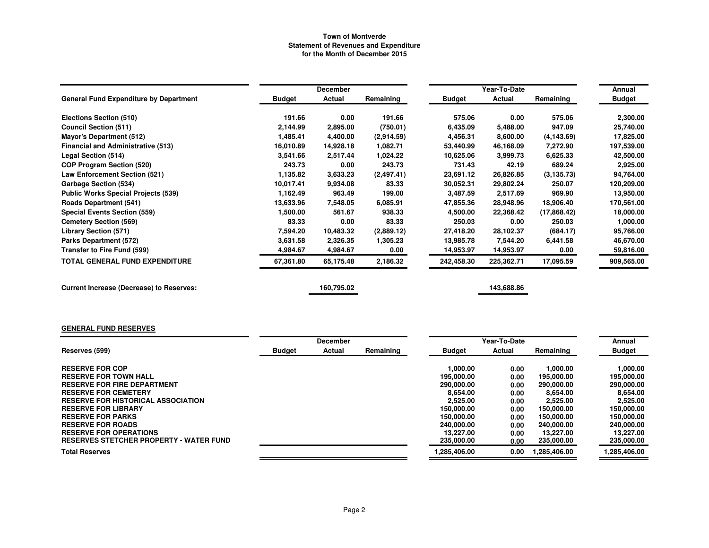|                                                 |               | <b>December</b> |            |               | Annual     |             |               |
|-------------------------------------------------|---------------|-----------------|------------|---------------|------------|-------------|---------------|
| <b>General Fund Expenditure by Department</b>   | <b>Budget</b> | Actual          | Remaining  | <b>Budget</b> | Actual     | Remaining   | <b>Budget</b> |
| Elections Section (510)                         | 191.66        | 0.00            | 191.66     | 575.06        | 0.00       | 575.06      | 2,300.00      |
| <b>Council Section (511)</b>                    | 2,144.99      | 2,895.00        | (750.01)   | 6,435.09      | 5,488.00   | 947.09      | 25,740.00     |
| <b>Mayor's Department (512)</b>                 | 1,485.41      | 4,400.00        | (2,914.59) | 4,456.31      | 8,600.00   | (4, 143.69) | 17,825.00     |
| <b>Financial and Administrative (513)</b>       | 16,010.89     | 14,928.18       | 1.082.71   | 53,440.99     | 46,168.09  | 7,272.90    | 197,539.00    |
| Legal Section (514)                             | 3,541.66      | 2,517.44        | 1,024.22   | 10,625.06     | 3,999.73   | 6,625.33    | 42,500.00     |
| <b>COP Program Section (520)</b>                | 243.73        | 0.00            | 243.73     | 731.43        | 42.19      | 689.24      | 2,925.00      |
| <b>Law Enforcement Section (521)</b>            | 1,135.82      | 3,633.23        | (2,497.41) | 23,691.12     | 26,826.85  | (3, 135.73) | 94,764.00     |
| <b>Garbage Section (534)</b>                    | 10,017.41     | 9,934.08        | 83.33      | 30,052.31     | 29,802.24  | 250.07      | 120,209.00    |
| <b>Public Works Special Projects (539)</b>      | 1,162.49      | 963.49          | 199.00     | 3,487.59      | 2,517.69   | 969.90      | 13,950.00     |
| <b>Roads Department (541)</b>                   | 13,633.96     | 7,548.05        | 6,085.91   | 47,855.36     | 28,948.96  | 18,906.40   | 170,561.00    |
| <b>Special Events Section (559)</b>             | 1,500.00      | 561.67          | 938.33     | 4,500.00      | 22,368.42  | (17,868.42) | 18,000.00     |
| <b>Cemetery Section (569)</b>                   | 83.33         | 0.00            | 83.33      | 250.03        | 0.00       | 250.03      | 1,000.00      |
| <b>Library Section (571)</b>                    | 7,594.20      | 10,483.32       | (2,889.12) | 27,418.20     | 28,102.37  | (684.17)    | 95,766.00     |
| <b>Parks Department (572)</b>                   | 3,631.58      | 2,326.35        | 1,305.23   | 13,985.78     | 7,544.20   | 6,441.58    | 46,670.00     |
| Transfer to Fire Fund (599)                     | 4,984.67      | 4,984.67        | 0.00       | 14,953.97     | 14,953.97  | 0.00        | 59,816.00     |
| <b>TOTAL GENERAL FUND EXPENDITURE</b>           | 67,361.80     | 65,175.48       | 2,186.32   | 242,458.30    | 225,362.71 | 17,095.59   | 909,565.00    |
| <b>Current Increase (Decrease) to Reserves:</b> |               | 160,795.02      |            |               | 143,688.86 |             |               |

# **GENERAL FUND RESERVES**

|                                                |               | <b>December</b> |           |               | Year-To-Date |             | Annual        |
|------------------------------------------------|---------------|-----------------|-----------|---------------|--------------|-------------|---------------|
| Reserves (599)                                 | <b>Budget</b> | Actual          | Remaining | <b>Budget</b> | Actual       | Remaining   | <b>Budget</b> |
|                                                |               |                 |           |               |              |             |               |
| <b>RESERVE FOR COP</b>                         |               |                 |           | 1.000.00      | 0.00         | 1.000.00    | 1,000.00      |
| <b>RESERVE FOR TOWN HALL</b>                   |               |                 |           | 195.000.00    | 0.00         | 195,000.00  | 195,000.00    |
| <b>RESERVE FOR FIRE DEPARTMENT</b>             |               |                 |           | 290,000,00    | 0.00         | 290,000,00  | 290,000.00    |
| <b>RESERVE FOR CEMETERY</b>                    |               |                 |           | 8.654.00      | 0.00         | 8.654.00    | 8.654.00      |
| <b>RESERVE FOR HISTORICAL ASSOCIATION</b>      |               |                 |           | 2.525.00      | 0.00         | 2,525.00    | 2,525.00      |
| <b>RESERVE FOR LIBRARY</b>                     |               |                 |           | 150,000.00    | 0.00         | 150.000.00  | 150,000,00    |
| <b>RESERVE FOR PARKS</b>                       |               |                 |           | 150.000.00    | 0.00         | 150.000.00  | 150,000.00    |
| <b>RESERVE FOR ROADS</b>                       |               |                 |           | 240,000.00    | 0.00         | 240,000,00  | 240.000.00    |
| <b>RESERVE FOR OPERATIONS</b>                  |               |                 |           | 13.227.00     | 0.00         | 13.227.00   | 13.227.00     |
| <b>RESERVES STETCHER PROPERTY - WATER FUND</b> |               |                 |           | 235,000.00    | 0.00         | 235,000.00  | 235,000.00    |
| <b>Total Reserves</b>                          |               |                 |           | 1,285,406.00  | 0.00         | .285,406.00 | .285,406.00   |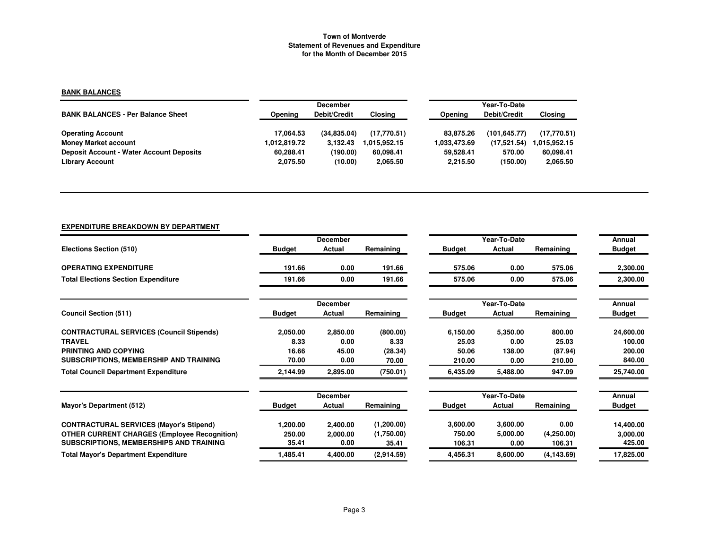### **BANK BALANCES**

|                                                 |              | <b>December</b>     |                |              | Year-To-Date |                |
|-------------------------------------------------|--------------|---------------------|----------------|--------------|--------------|----------------|
| <b>BANK BALANCES - Per Balance Sheet</b>        | Opening      | <b>Debit/Credit</b> | <b>Closing</b> | Opening      | Debit/Credit | <b>Closing</b> |
|                                                 |              |                     |                |              |              |                |
| <b>Operating Account</b>                        | 17.064.53    | (34.835.04)         | (17.770.51)    | 83.875.26    | (101.645.77) | (17,770.51)    |
| <b>Money Market account</b>                     | 1,012,819.72 | 3.132.43            | 1.015.952.15   | 1.033.473.69 | (17, 521.54) | 1.015.952.15   |
| <b>Deposit Account - Water Account Deposits</b> | 60.288.41    | (190.00)            | 60.098.41      | 59.528.41    | 570.00       | 60.098.41      |
| <b>Library Account</b>                          | 2.075.50     | (10.00)             | 2,065.50       | 2.215.50     | (150.00)     | 2,065.50       |

### **EXPENDITURE BREAKDOWN BY DEPARTMENT**

|                                                     |               | <b>December</b> |            |               | Year-To-Date |             | Annual        |
|-----------------------------------------------------|---------------|-----------------|------------|---------------|--------------|-------------|---------------|
| Elections Section (510)                             | <b>Budget</b> | Actual          | Remaining  | <b>Budget</b> | Actual       | Remaining   | <b>Budget</b> |
| <b>OPERATING EXPENDITURE</b>                        | 191.66        | 0.00            | 191.66     | 575.06        | 0.00         | 575.06      | 2,300.00      |
| <b>Total Elections Section Expenditure</b>          | 191.66        | 0.00            | 191.66     | 575.06        | 0.00         | 575.06      | 2,300.00      |
|                                                     |               | <b>December</b> |            |               | Year-To-Date |             | Annual        |
| <b>Council Section (511)</b>                        | <b>Budget</b> | Actual          | Remaining  | <b>Budget</b> | Actual       | Remaining   | <b>Budget</b> |
| <b>CONTRACTURAL SERVICES (Council Stipends)</b>     | 2,050.00      | 2,850.00        | (800.00)   | 6,150.00      | 5,350.00     | 800.00      | 24,600.00     |
| <b>TRAVEL</b>                                       | 8.33          | 0.00            | 8.33       | 25.03         | 0.00         | 25.03       | 100.00        |
| <b>PRINTING AND COPYING</b>                         | 16.66         | 45.00           | (28.34)    | 50.06         | 138.00       | (87.94)     | 200.00        |
| SUBSCRIPTIONS, MEMBERSHIP AND TRAINING              | 70.00         | 0.00            | 70.00      | 210.00        | 0.00         | 210.00      | 840.00        |
| <b>Total Council Department Expenditure</b>         | 2,144.99      | 2,895.00        | (750.01)   | 6,435.09      | 5,488.00     | 947.09      | 25,740.00     |
|                                                     |               | <b>December</b> |            |               | Year-To-Date |             | Annual        |
| Mayor's Department (512)                            | <b>Budget</b> | Actual          | Remaining  | <b>Budget</b> | Actual       | Remaining   | <b>Budget</b> |
| <b>CONTRACTURAL SERVICES (Mayor's Stipend)</b>      | 1,200.00      | 2,400.00        | (1,200.00) | 3,600.00      | 3,600.00     | 0.00        | 14,400.00     |
| <b>OTHER CURRENT CHARGES (Employee Recognition)</b> | 250.00        | 2,000.00        | (1,750.00) | 750.00        | 5,000.00     | (4,250.00)  | 3,000.00      |
| SUBSCRIPTIONS, MEMBERSHIPS AND TRAINING             | 35.41         | 0.00            | 35.41      | 106.31        | 0.00         | 106.31      | 425.00        |
| <b>Total Mayor's Department Expenditure</b>         | 1,485.41      | 4,400.00        | (2,914.59) | 4,456.31      | 8,600.00     | (4, 143.69) | 17,825.00     |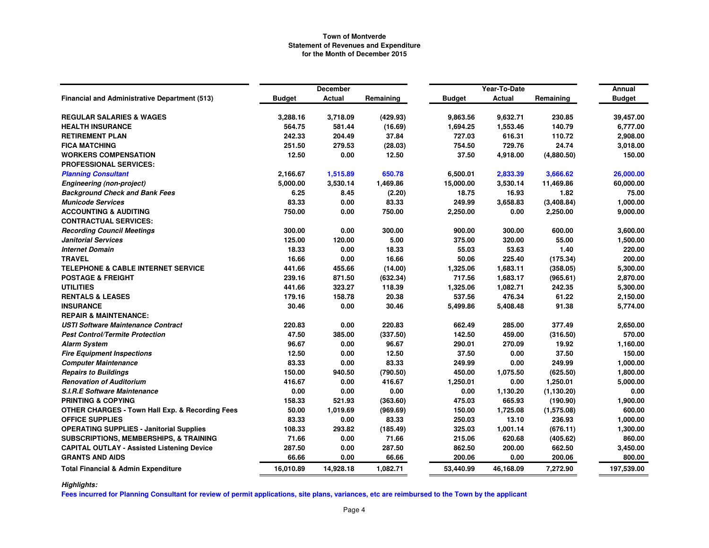|                                                            |               | <b>December</b> |           |               | Year-To-Date  |             | Annual        |
|------------------------------------------------------------|---------------|-----------------|-----------|---------------|---------------|-------------|---------------|
| <b>Financial and Administrative Department (513)</b>       | <b>Budget</b> | Actual          | Remaining | <b>Budget</b> | <b>Actual</b> | Remaining   | <b>Budget</b> |
| <b>REGULAR SALARIES &amp; WAGES</b>                        | 3,288.16      | 3,718.09        | (429.93)  | 9,863.56      | 9,632.71      | 230.85      | 39,457.00     |
| <b>HEALTH INSURANCE</b>                                    | 564.75        | 581.44          | (16.69)   | 1,694.25      | 1,553.46      | 140.79      | 6,777.00      |
| <b>RETIREMENT PLAN</b>                                     | 242.33        | 204.49          | 37.84     | 727.03        | 616.31        | 110.72      | 2,908.00      |
| <b>FICA MATCHING</b>                                       | 251.50        | 279.53          | (28.03)   | 754.50        | 729.76        | 24.74       | 3,018.00      |
| <b>WORKERS COMPENSATION</b>                                | 12.50         | 0.00            | 12.50     | 37.50         | 4,918.00      | (4,880.50)  | 150.00        |
| <b>PROFESSIONAL SERVICES:</b>                              |               |                 |           |               |               |             |               |
| <b>Planning Consultant</b>                                 | 2,166.67      | 1,515.89        | 650.78    | 6,500.01      | 2,833.39      | 3,666.62    | 26,000.00     |
| <b>Engineering (non-project)</b>                           | 5,000.00      | 3,530.14        | 1,469.86  | 15,000.00     | 3,530.14      | 11,469.86   | 60,000.00     |
| <b>Background Check and Bank Fees</b>                      | 6.25          | 8.45            | (2.20)    | 18.75         | 16.93         | 1.82        | 75.00         |
| <b>Municode Services</b>                                   | 83.33         | 0.00            | 83.33     | 249.99        | 3,658.83      | (3,408.84)  | 1,000.00      |
| <b>ACCOUNTING &amp; AUDITING</b>                           | 750.00        | 0.00            | 750.00    | 2,250.00      | 0.00          | 2,250.00    | 9,000.00      |
| <b>CONTRACTUAL SERVICES:</b>                               |               |                 |           |               |               |             |               |
| <b>Recording Council Meetings</b>                          | 300.00        | 0.00            | 300.00    | 900.00        | 300.00        | 600.00      | 3,600.00      |
| <b>Janitorial Services</b>                                 | 125.00        | 120.00          | 5.00      | 375.00        | 320.00        | 55.00       | 1,500.00      |
| <b>Internet Domain</b>                                     | 18.33         | 0.00            | 18.33     | 55.03         | 53.63         | 1.40        | 220.00        |
| <b>TRAVEL</b>                                              | 16.66         | 0.00            | 16.66     | 50.06         | 225.40        | (175.34)    | 200.00        |
| <b>TELEPHONE &amp; CABLE INTERNET SERVICE</b>              | 441.66        | 455.66          | (14.00)   | 1,325.06      | 1,683.11      | (358.05)    | 5,300.00      |
| <b>POSTAGE &amp; FREIGHT</b>                               | 239.16        | 871.50          | (632.34)  | 717.56        | 1,683.17      | (965.61)    | 2,870.00      |
| <b>UTILITIES</b>                                           | 441.66        | 323.27          | 118.39    | 1,325.06      | 1,082.71      | 242.35      | 5,300.00      |
| <b>RENTALS &amp; LEASES</b>                                | 179.16        | 158.78          | 20.38     | 537.56        | 476.34        | 61.22       | 2,150.00      |
| <b>INSURANCE</b>                                           | 30.46         | 0.00            | 30.46     | 5,499.86      | 5,408.48      | 91.38       | 5,774.00      |
| <b>REPAIR &amp; MAINTENANCE:</b>                           |               |                 |           |               |               |             |               |
| <b>USTI Software Maintenance Contract</b>                  | 220.83        | 0.00            | 220.83    | 662.49        | 285.00        | 377.49      | 2,650.00      |
| <b>Pest Control/Termite Protection</b>                     | 47.50         | 385.00          | (337.50)  | 142.50        | 459.00        | (316.50)    | 570.00        |
| <b>Alarm System</b>                                        | 96.67         | 0.00            | 96.67     | 290.01        | 270.09        | 19.92       | 1,160.00      |
| <b>Fire Equipment Inspections</b>                          | 12.50         | 0.00            | 12.50     | 37.50         | 0.00          | 37.50       | 150.00        |
| <b>Computer Maintenance</b>                                | 83.33         | 0.00            | 83.33     | 249.99        | 0.00          | 249.99      | 1,000.00      |
| <b>Repairs to Buildings</b>                                | 150.00        | 940.50          | (790.50)  | 450.00        | 1,075.50      | (625.50)    | 1,800.00      |
| <b>Renovation of Auditorium</b>                            | 416.67        | 0.00            | 416.67    | 1,250.01      | 0.00          | 1,250.01    | 5,000.00      |
| <b>S.I.R.E Software Maintenance</b>                        | 0.00          | 0.00            | 0.00      | 0.00          | 1,130.20      | (1, 130.20) | 0.00          |
| <b>PRINTING &amp; COPYING</b>                              | 158.33        | 521.93          | (363.60)  | 475.03        | 665.93        | (190.90)    | 1,900.00      |
| <b>OTHER CHARGES - Town Hall Exp. &amp; Recording Fees</b> | 50.00         | 1,019.69        | (969.69)  | 150.00        | 1,725.08      | (1,575.08)  | 600.00        |
| <b>OFFICE SUPPLIES</b>                                     | 83.33         | 0.00            | 83.33     | 250.03        | 13.10         | 236.93      | 1,000.00      |
| <b>OPERATING SUPPLIES - Janitorial Supplies</b>            | 108.33        | 293.82          | (185.49)  | 325.03        | 1,001.14      | (676.11)    | 1,300.00      |
| <b>SUBSCRIPTIONS, MEMBERSHIPS, &amp; TRAINING</b>          | 71.66         | 0.00            | 71.66     | 215.06        | 620.68        | (405.62)    | 860.00        |
| <b>CAPITAL OUTLAY - Assisted Listening Device</b>          | 287.50        | 0.00            | 287.50    | 862.50        | 200.00        | 662.50      | 3,450.00      |
| <b>GRANTS AND AIDS</b>                                     | 66.66         | 0.00            | 66.66     | 200.06        | 0.00          | 200.06      | 800.00        |
| <b>Total Financial &amp; Admin Expenditure</b>             | 16,010.89     | 14,928.18       | 1,082.71  | 53,440.99     | 46,168.09     | 7,272.90    | 197,539.00    |

*Highlights:*

**Fees incurred for Planning Consultant for review of permit applications, site plans, variances, etc are reimbursed to the Town by the applicant**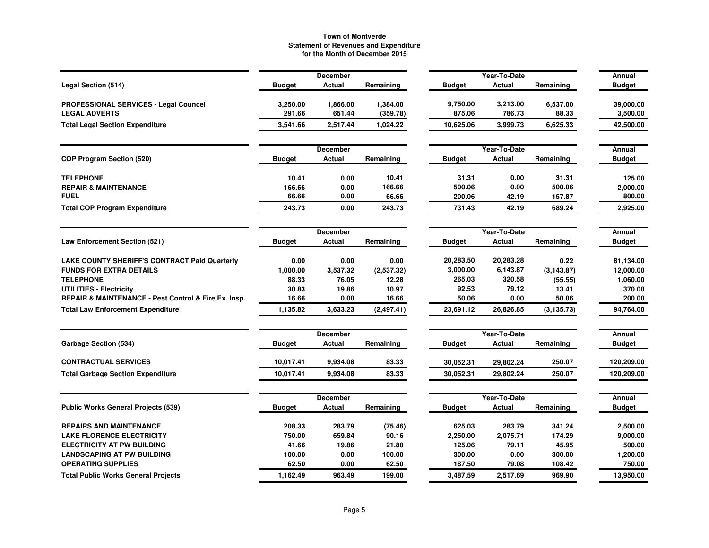|                                                               |                    | <b>December</b>    |                      |                    | Year-To-Date       |                   | Annual                |
|---------------------------------------------------------------|--------------------|--------------------|----------------------|--------------------|--------------------|-------------------|-----------------------|
| Legal Section (514)                                           | <b>Budget</b>      | Actual             | Remaining            | <b>Budget</b>      | Actual             | Remaining         | <b>Budget</b>         |
| PROFESSIONAL SERVICES - Legal Councel<br><b>LEGAL ADVERTS</b> | 3,250.00<br>291.66 | 1,866.00<br>651.44 | 1,384.00<br>(359.78) | 9,750.00<br>875.06 | 3,213.00<br>786.73 | 6,537.00<br>88.33 | 39,000.00<br>3,500.00 |
| <b>Total Legal Section Expenditure</b>                        | 3,541.66           | 2,517.44           | 1,024.22             | 10,625.06          | 3,999.73           | 6,625.33          | 42,500.00             |
|                                                               |                    | <b>December</b>    |                      |                    | Year-To-Date       |                   | Annual                |
| <b>COP Program Section (520)</b>                              | <b>Budget</b>      | Actual             | Remaining            | <b>Budget</b>      | Actual             | Remaining         | <b>Budget</b>         |
| <b>TELEPHONE</b>                                              | 10.41              | 0.00               | 10.41                | 31.31              | 0.00               | 31.31             | 125.00                |
| <b>REPAIR &amp; MAINTENANCE</b>                               | 166.66             | 0.00               | 166.66               | 500.06             | 0.00               | 500.06            | 2,000.00              |
| <b>FUEL</b>                                                   | 66.66              | 0.00               | 66.66                | 200.06             | 42.19              | 157.87            | 800.00                |
| <b>Total COP Program Expenditure</b>                          | 243.73             | 0.00               | 243.73               | 731.43             | 42.19              | 689.24            | 2,925.00              |
|                                                               |                    | <b>December</b>    |                      |                    | Year-To-Date       |                   | Annual                |
| <b>Law Enforcement Section (521)</b>                          | <b>Budget</b>      | Actual             | Remaining            | <b>Budget</b>      | Actual             | Remaining         | Budget                |
| LAKE COUNTY SHERIFF'S CONTRACT Paid Quarterly                 | 0.00               | 0.00               | 0.00                 | 20,283.50          | 20,283.28          | 0.22              | 81,134.00             |
| <b>FUNDS FOR EXTRA DETAILS</b>                                | 1,000.00           | 3,537.32           | (2,537.32)           | 3,000.00           | 6,143.87           | (3, 143.87)       | 12,000.00             |
| <b>TELEPHONE</b>                                              | 88.33              | 76.05              | 12.28                | 265.03             | 320.58             | (55.55)           | 1,060.00              |
| <b>UTILITIES - Electricity</b>                                | 30.83              | 19.86              | 10.97                | 92.53              | 79.12              | 13.41             | 370.00                |
| REPAIR & MAINTENANCE - Pest Control & Fire Ex. Insp.          | 16.66              | 0.00               | 16.66                | 50.06              | 0.00               | 50.06             | 200.00                |
| <b>Total Law Enforcement Expenditure</b>                      | 1,135.82           | 3,633.23           | (2,497.41)           | 23,691.12          | 26,826.85          | (3, 135.73)       | 94,764.00             |
|                                                               |                    | <b>December</b>    |                      |                    | Year-To-Date       |                   | Annual                |
| <b>Garbage Section (534)</b>                                  | <b>Budget</b>      | <b>Actual</b>      | Remaining            | <b>Budget</b>      | <b>Actual</b>      | Remaining         | <b>Budget</b>         |
| <b>CONTRACTUAL SERVICES</b>                                   | 10,017.41          | 9,934.08           | 83.33                | 30,052.31          | 29,802.24          | 250.07            | 120,209.00            |
| <b>Total Garbage Section Expenditure</b>                      | 10,017.41          | 9,934.08           | 83.33                | 30,052.31          | 29,802.24          | 250.07            | 120,209.00            |
|                                                               |                    | <b>December</b>    |                      |                    | Year-To-Date       |                   | Annual                |
| <b>Public Works General Projects (539)</b>                    | <b>Budget</b>      | <b>Actual</b>      | Remaining            | <b>Budget</b>      | <b>Actual</b>      | Remaining         | <b>Budget</b>         |
| <b>REPAIRS AND MAINTENANCE</b>                                | 208.33             | 283.79             | (75.46)              | 625.03             | 283.79             | 341.24            | 2,500.00              |
| <b>LAKE FLORENCE ELECTRICITY</b>                              | 750.00             | 659.84             | 90.16                | 2,250.00           | 2,075.71           | 174.29            | 9,000.00              |
| <b>ELECTRICITY AT PW BUILDING</b>                             | 41.66              | 19.86              | 21.80                | 125.06             | 79.11              | 45.95             | 500.00                |
| <b>LANDSCAPING AT PW BUILDING</b>                             | 100.00             | 0.00               | 100.00               | 300.00             | 0.00               | 300.00            | 1,200.00              |
| <b>OPERATING SUPPLIES</b>                                     | 62.50              | 0.00               | 62.50                | 187.50             | 79.08              | 108.42            | 750.00                |
| <b>Total Public Works General Projects</b>                    | 1,162.49           | 963.49             | 199.00               | 3,487.59           | 2,517.69           | 969.90            | 13,950.00             |
|                                                               |                    |                    |                      |                    |                    |                   |                       |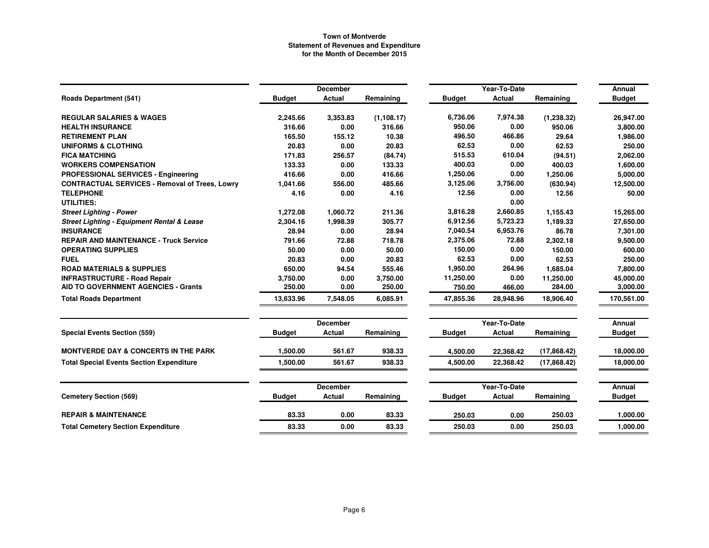|                                                       |               | <b>December</b> |             |               | Year-To-Date  |             | Annual        |
|-------------------------------------------------------|---------------|-----------------|-------------|---------------|---------------|-------------|---------------|
| <b>Roads Department (541)</b>                         | <b>Budget</b> | Actual          | Remaining   | <b>Budget</b> | <b>Actual</b> | Remaining   | <b>Budget</b> |
| <b>REGULAR SALARIES &amp; WAGES</b>                   | 2,245.66      | 3,353.83        | (1, 108.17) | 6,736.06      | 7,974.38      | (1, 238.32) | 26,947.00     |
| <b>HEALTH INSURANCE</b>                               | 316.66        | 0.00            | 316.66      | 950.06        | 0.00          | 950.06      | 3,800.00      |
| <b>RETIREMENT PLAN</b>                                | 165.50        | 155.12          | 10.38       | 496.50        | 466.86        | 29.64       | 1,986.00      |
| <b>UNIFORMS &amp; CLOTHING</b>                        | 20.83         | 0.00            | 20.83       | 62.53         | 0.00          | 62.53       | 250.00        |
| <b>FICA MATCHING</b>                                  | 171.83        | 256.57          | (84.74)     | 515.53        | 610.04        | (94.51)     | 2,062.00      |
| <b>WORKERS COMPENSATION</b>                           | 133.33        | 0.00            | 133.33      | 400.03        | 0.00          | 400.03      | 1,600.00      |
| PROFESSIONAL SERVICES - Engineering                   | 416.66        | 0.00            | 416.66      | 1,250.06      | 0.00          | 1,250.06    | 5,000.00      |
| <b>CONTRACTUAL SERVICES - Removal of Trees, Lowry</b> | 1,041.66      | 556.00          | 485.66      | 3,125.06      | 3,756.00      | (630.94)    | 12,500.00     |
| <b>TELEPHONE</b>                                      | 4.16          | 0.00            | 4.16        | 12.56         | 0.00          | 12.56       | 50.00         |
| UTILITIES:                                            |               |                 |             |               | 0.00          |             |               |
| <b>Street Lighting - Power</b>                        | 1,272.08      | 1,060.72        | 211.36      | 3,816.28      | 2,660.85      | 1,155.43    | 15,265.00     |
| <b>Street Lighting - Equipment Rental &amp; Lease</b> | 2,304.16      | 1,998.39        | 305.77      | 6,912.56      | 5,723.23      | 1,189.33    | 27,650.00     |
| <b>INSURANCE</b>                                      | 28.94         | 0.00            | 28.94       | 7,040.54      | 6,953.76      | 86.78       | 7,301.00      |
| <b>REPAIR AND MAINTENANCE - Truck Service</b>         | 791.66        | 72.88           | 718.78      | 2,375.06      | 72.88         | 2,302.18    | 9,500.00      |
| <b>OPERATING SUPPLIES</b>                             | 50.00         | 0.00            | 50.00       | 150.00        | 0.00          | 150.00      | 600.00        |
| <b>FUEL</b>                                           | 20.83         | 0.00            | 20.83       | 62.53         | 0.00          | 62.53       | 250.00        |
| <b>ROAD MATERIALS &amp; SUPPLIES</b>                  | 650.00        | 94.54           | 555.46      | 1,950.00      | 264.96        | 1,685.04    | 7,800.00      |
| <b>INFRASTRUCTURE - Road Repair</b>                   | 3,750.00      | 0.00            | 3,750.00    | 11,250.00     | 0.00          | 11,250.00   | 45,000.00     |
| <b>AID TO GOVERNMENT AGENCIES - Grants</b>            | 250.00        | 0.00            | 250.00      | 750.00        | 466.00        | 284.00      | 3,000.00      |
| <b>Total Roads Department</b>                         | 13,633.96     | 7,548.05        | 6,085.91    | 47,855.36     | 28,948.96     | 18,906.40   | 170,561.00    |
|                                                       |               | <b>December</b> |             |               | Year-To-Date  |             | Annual        |
| <b>Special Events Section (559)</b>                   | <b>Budget</b> | Actual          | Remaining   | <b>Budget</b> | Actual        | Remaining   | <b>Budget</b> |
| <b>MONTVERDE DAY &amp; CONCERTS IN THE PARK</b>       | 1.500.00      | 561.67          | 938.33      | 4,500.00      | 22,368.42     | (17,868.42) | 18.000.00     |
| <b>Total Special Events Section Expenditure</b>       | 1,500.00      | 561.67          | 938.33      | 4,500.00      | 22,368.42     | (17,868.42) | 18,000.00     |
|                                                       |               | <b>December</b> |             |               | Year-To-Date  |             | Annual        |
| <b>Cemetery Section (569)</b>                         | <b>Budget</b> | Actual          | Remaining   | <b>Budget</b> | <b>Actual</b> | Remaining   | <b>Budget</b> |
| <b>REPAIR &amp; MAINTENANCE</b>                       | 83.33         | 0.00            | 83.33       | 250.03        | 0.00          | 250.03      | 1.000.00      |
| <b>Total Cemetery Section Expenditure</b>             | 83.33         | 0.00            | 83.33       | 250.03        | 0.00          | 250.03      | 1,000.00      |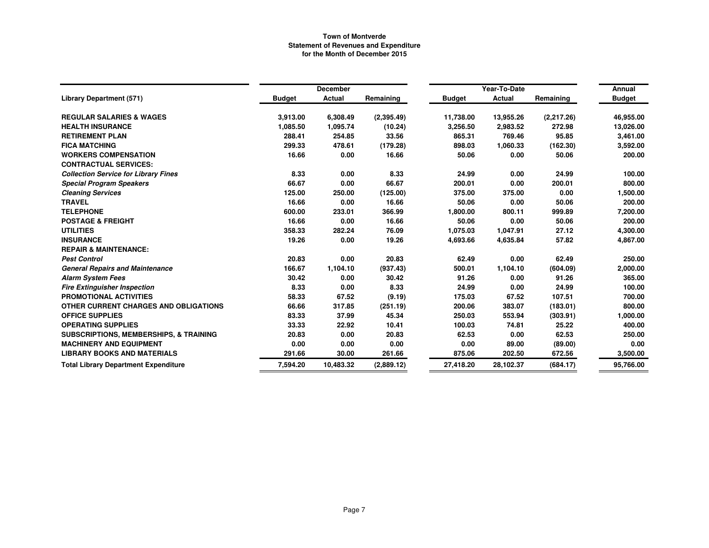|                                                   |               | <b>December</b> |            | Year-To-Date  | Annual    |            |               |
|---------------------------------------------------|---------------|-----------------|------------|---------------|-----------|------------|---------------|
| <b>Library Department (571)</b>                   | <b>Budget</b> | <b>Actual</b>   | Remaining  | <b>Budget</b> | Actual    | Remaining  | <b>Budget</b> |
| <b>REGULAR SALARIES &amp; WAGES</b>               | 3,913.00      | 6,308.49        | (2,395.49) | 11,738.00     | 13,955.26 | (2,217.26) | 46,955.00     |
| <b>HEALTH INSURANCE</b>                           | 1,085.50      | 1,095.74        | (10.24)    | 3,256.50      | 2,983.52  | 272.98     | 13,026.00     |
| <b>RETIREMENT PLAN</b>                            | 288.41        | 254.85          | 33.56      | 865.31        | 769.46    | 95.85      | 3,461.00      |
| <b>FICA MATCHING</b>                              | 299.33        | 478.61          | (179.28)   | 898.03        | 1,060.33  | (162.30)   | 3,592.00      |
| <b>WORKERS COMPENSATION</b>                       | 16.66         | 0.00            | 16.66      | 50.06         | 0.00      | 50.06      | 200.00        |
| <b>CONTRACTUAL SERVICES:</b>                      |               |                 |            |               |           |            |               |
| <b>Collection Service for Library Fines</b>       | 8.33          | 0.00            | 8.33       | 24.99         | 0.00      | 24.99      | 100.00        |
| <b>Special Program Speakers</b>                   | 66.67         | 0.00            | 66.67      | 200.01        | 0.00      | 200.01     | 800.00        |
| <b>Cleaning Services</b>                          | 125.00        | 250.00          | (125.00)   | 375.00        | 375.00    | 0.00       | 1,500.00      |
| <b>TRAVEL</b>                                     | 16.66         | 0.00            | 16.66      | 50.06         | 0.00      | 50.06      | 200.00        |
| <b>TELEPHONE</b>                                  | 600.00        | 233.01          | 366.99     | 1,800.00      | 800.11    | 999.89     | 7,200.00      |
| <b>POSTAGE &amp; FREIGHT</b>                      | 16.66         | 0.00            | 16.66      | 50.06         | 0.00      | 50.06      | 200.00        |
| <b>UTILITIES</b>                                  | 358.33        | 282.24          | 76.09      | 1,075.03      | 1,047.91  | 27.12      | 4,300.00      |
| <b>INSURANCE</b>                                  | 19.26         | 0.00            | 19.26      | 4,693.66      | 4,635.84  | 57.82      | 4,867.00      |
| <b>REPAIR &amp; MAINTENANCE:</b>                  |               |                 |            |               |           |            |               |
| <b>Pest Control</b>                               | 20.83         | 0.00            | 20.83      | 62.49         | 0.00      | 62.49      | 250.00        |
| <b>General Repairs and Maintenance</b>            | 166.67        | 1,104.10        | (937.43)   | 500.01        | 1,104.10  | (604.09)   | 2,000.00      |
| <b>Alarm System Fees</b>                          | 30.42         | 0.00            | 30.42      | 91.26         | 0.00      | 91.26      | 365.00        |
| <b>Fire Extinguisher Inspection</b>               | 8.33          | 0.00            | 8.33       | 24.99         | 0.00      | 24.99      | 100.00        |
| PROMOTIONAL ACTIVITIES                            | 58.33         | 67.52           | (9.19)     | 175.03        | 67.52     | 107.51     | 700.00        |
| OTHER CURRENT CHARGES AND OBLIGATIONS             | 66.66         | 317.85          | (251.19)   | 200.06        | 383.07    | (183.01)   | 800.00        |
| <b>OFFICE SUPPLIES</b>                            | 83.33         | 37.99           | 45.34      | 250.03        | 553.94    | (303.91)   | 1,000.00      |
| <b>OPERATING SUPPLIES</b>                         | 33.33         | 22.92           | 10.41      | 100.03        | 74.81     | 25.22      | 400.00        |
| <b>SUBSCRIPTIONS, MEMBERSHIPS, &amp; TRAINING</b> | 20.83         | 0.00            | 20.83      | 62.53         | 0.00      | 62.53      | 250.00        |
| <b>MACHINERY AND EQUIPMENT</b>                    | 0.00          | 0.00            | 0.00       | 0.00          | 89.00     | (89.00)    | 0.00          |
| <b>LIBRARY BOOKS AND MATERIALS</b>                | 291.66        | 30.00           | 261.66     | 875.06        | 202.50    | 672.56     | 3,500.00      |
| <b>Total Library Department Expenditure</b>       | 7,594.20      | 10,483.32       | (2,889.12) | 27,418.20     | 28,102.37 | (684.17)   | 95,766.00     |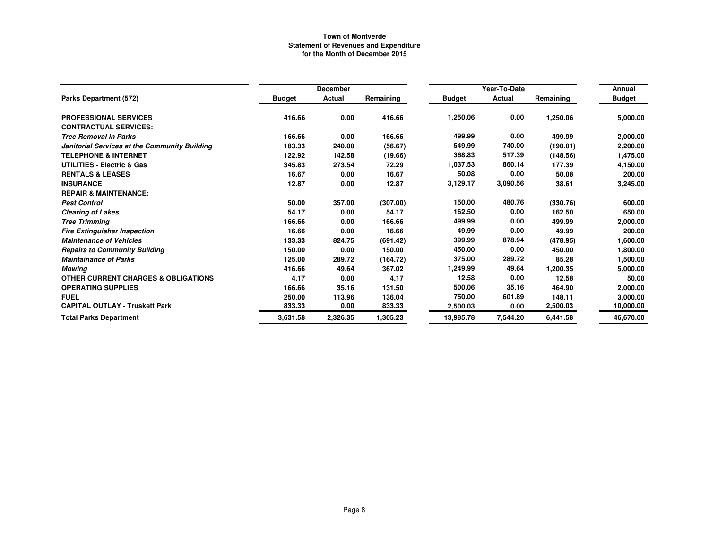|                                                |               | <b>December</b> |           |               | Year-To-Date |           | Annual        |
|------------------------------------------------|---------------|-----------------|-----------|---------------|--------------|-----------|---------------|
| Parks Department (572)                         | <b>Budget</b> | Actual          | Remaining | <b>Budget</b> | Actual       | Remaining | <b>Budget</b> |
| <b>PROFESSIONAL SERVICES</b>                   | 416.66        | 0.00            | 416.66    | 1,250.06      | 0.00         | 1,250.06  | 5,000.00      |
| <b>CONTRACTUAL SERVICES:</b>                   |               |                 |           |               |              |           |               |
| <b>Tree Removal in Parks</b>                   | 166.66        | 0.00            | 166.66    | 499.99        | 0.00         | 499.99    | 2,000.00      |
| Janitorial Services at the Community Building  | 183.33        | 240.00          | (56.67)   | 549.99        | 740.00       | (190.01)  | 2,200.00      |
| <b>TELEPHONE &amp; INTERNET</b>                | 122.92        | 142.58          | (19.66)   | 368.83        | 517.39       | (148.56)  | 1,475.00      |
| <b>UTILITIES - Electric &amp; Gas</b>          | 345.83        | 273.54          | 72.29     | 1,037.53      | 860.14       | 177.39    | 4,150.00      |
| <b>RENTALS &amp; LEASES</b>                    | 16.67         | 0.00            | 16.67     | 50.08         | 0.00         | 50.08     | 200.00        |
| <b>INSURANCE</b>                               | 12.87         | 0.00            | 12.87     | 3,129.17      | 3,090.56     | 38.61     | 3,245.00      |
| <b>REPAIR &amp; MAINTENANCE:</b>               |               |                 |           |               |              |           |               |
| <b>Pest Control</b>                            | 50.00         | 357.00          | (307.00)  | 150.00        | 480.76       | (330.76)  | 600.00        |
| <b>Clearing of Lakes</b>                       | 54.17         | 0.00            | 54.17     | 162.50        | 0.00         | 162.50    | 650.00        |
| <b>Tree Trimming</b>                           | 166.66        | 0.00            | 166.66    | 499.99        | 0.00         | 499.99    | 2,000.00      |
| <b>Fire Extinguisher Inspection</b>            | 16.66         | 0.00            | 16.66     | 49.99         | 0.00         | 49.99     | 200.00        |
| <b>Maintenance of Vehicles</b>                 | 133.33        | 824.75          | (691.42)  | 399.99        | 878.94       | (478.95)  | 1,600.00      |
| <b>Repairs to Community Building</b>           | 150.00        | 0.00            | 150.00    | 450.00        | 0.00         | 450.00    | 1,800.00      |
| <b>Maintainance of Parks</b>                   | 125.00        | 289.72          | (164.72)  | 375.00        | 289.72       | 85.28     | 1,500.00      |
| Mowing                                         | 416.66        | 49.64           | 367.02    | 1,249.99      | 49.64        | 1,200.35  | 5,000.00      |
| <b>OTHER CURRENT CHARGES &amp; OBLIGATIONS</b> | 4.17          | 0.00            | 4.17      | 12.58         | 0.00         | 12.58     | 50.00         |
| <b>OPERATING SUPPLIES</b>                      | 166.66        | 35.16           | 131.50    | 500.06        | 35.16        | 464.90    | 2,000.00      |
| <b>FUEL</b>                                    | 250.00        | 113.96          | 136.04    | 750.00        | 601.89       | 148.11    | 3,000.00      |
| <b>CAPITAL OUTLAY - Truskett Park</b>          | 833.33        | 0.00            | 833.33    | 2,500.03      | 0.00         | 2,500.03  | 10,000.00     |
| <b>Total Parks Department</b>                  | 3,631.58      | 2,326.35        | 1,305.23  | 13,985.78     | 7,544.20     | 6,441.58  | 46,670.00     |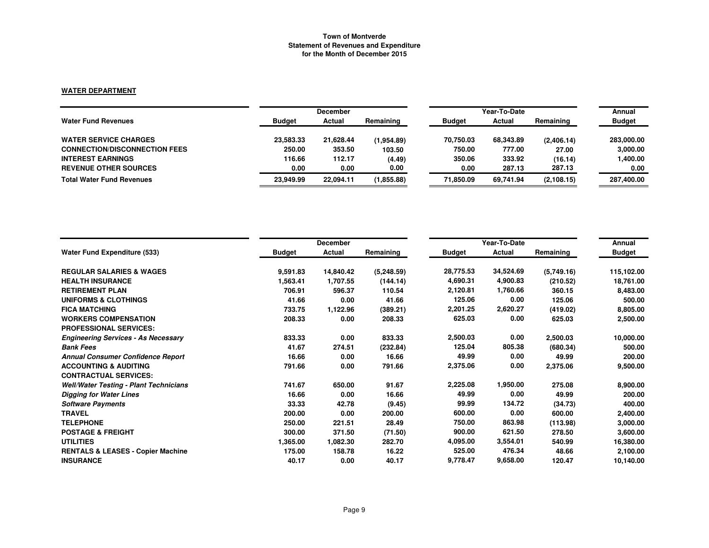# **WATER DEPARTMENT**

|                                      | <b>December</b> |           |            | Year-To-Date  | Annual    |             |               |
|--------------------------------------|-----------------|-----------|------------|---------------|-----------|-------------|---------------|
| <b>Water Fund Revenues</b>           | <b>Budget</b>   | Actual    | Remaining  | <b>Budget</b> | Actual    | Remaining   | <b>Budget</b> |
| <b>WATER SERVICE CHARGES</b>         | 23.583.33       | 21.628.44 | (1,954.89) | 70.750.03     | 68,343.89 | (2,406.14)  | 283,000,00    |
| <b>CONNECTION/DISCONNECTION FEES</b> | 250.00          | 353.50    | 103.50     | 750.00        | 777.00    | 27.00       | 3,000.00      |
| <b>INTEREST EARNINGS</b>             | 116.66          | 112.17    | (4.49)     | 350.06        | 333.92    | (16.14)     | 1,400.00      |
| <b>REVENUE OTHER SOURCES</b>         | 0.00            | 0.00      | 0.00       | 0.00          | 287.13    | 287.13      | 0.00          |
| <b>Total Water Fund Revenues</b>     | 23,949.99       | 22.094.11 | (1,855.88) | 71.850.09     | 69.741.94 | (2, 108.15) | 287,400.00    |

|                                               |               | <b>December</b> |            |               | Annual                 |            |               |
|-----------------------------------------------|---------------|-----------------|------------|---------------|------------------------|------------|---------------|
| <b>Water Fund Expenditure (533)</b>           | <b>Budget</b> | Actual          | Remaining  | <b>Budget</b> | Year-To-Date<br>Actual | Remaining  | <b>Budget</b> |
| <b>REGULAR SALARIES &amp; WAGES</b>           | 9,591.83      | 14,840.42       | (5,248.59) | 28,775.53     | 34,524.69              | (5,749.16) | 115,102.00    |
| <b>HEALTH INSURANCE</b>                       | 1,563.41      | 1,707.55        | (144.14)   | 4,690.31      | 4,900.83               | (210.52)   | 18,761.00     |
| <b>RETIREMENT PLAN</b>                        | 706.91        | 596.37          | 110.54     | 2,120.81      | 1,760.66               | 360.15     | 8,483.00      |
| <b>UNIFORMS &amp; CLOTHINGS</b>               | 41.66         | 0.00            | 41.66      | 125.06        | 0.00                   | 125.06     | 500.00        |
| <b>FICA MATCHING</b>                          | 733.75        | 1,122.96        | (389.21)   | 2,201.25      | 2,620.27               | (419.02)   | 8,805.00      |
| <b>WORKERS COMPENSATION</b>                   | 208.33        | 0.00            | 208.33     | 625.03        | 0.00                   | 625.03     | 2,500.00      |
| <b>PROFESSIONAL SERVICES:</b>                 |               |                 |            |               |                        |            |               |
| <b>Engineering Services - As Necessary</b>    | 833.33        | 0.00            | 833.33     | 2,500.03      | 0.00                   | 2,500.03   | 10,000.00     |
| <b>Bank Fees</b>                              | 41.67         | 274.51          | (232.84)   | 125.04        | 805.38                 | (680.34)   | 500.00        |
| <b>Annual Consumer Confidence Report</b>      | 16.66         | 0.00            | 16.66      | 49.99         | 0.00                   | 49.99      | 200.00        |
| <b>ACCOUNTING &amp; AUDITING</b>              | 791.66        | 0.00            | 791.66     | 2,375.06      | 0.00                   | 2,375.06   | 9,500.00      |
| <b>CONTRACTUAL SERVICES:</b>                  |               |                 |            |               |                        |            |               |
| <b>Well/Water Testing - Plant Technicians</b> | 741.67        | 650.00          | 91.67      | 2,225.08      | 1,950.00               | 275.08     | 8,900.00      |
| <b>Digging for Water Lines</b>                | 16.66         | 0.00            | 16.66      | 49.99         | 0.00                   | 49.99      | 200.00        |
| <b>Software Payments</b>                      | 33.33         | 42.78           | (9.45)     | 99.99         | 134.72                 | (34.73)    | 400.00        |
| <b>TRAVEL</b>                                 | 200.00        | 0.00            | 200.00     | 600.00        | 0.00                   | 600.00     | 2,400.00      |
| <b>TELEPHONE</b>                              | 250.00        | 221.51          | 28.49      | 750.00        | 863.98                 | (113.98)   | 3,000.00      |
| <b>POSTAGE &amp; FREIGHT</b>                  | 300.00        | 371.50          | (71.50)    | 900.00        | 621.50                 | 278.50     | 3,600.00      |
| <b>UTILITIES</b>                              | 1,365.00      | 1,082.30        | 282.70     | 4,095.00      | 3,554.01               | 540.99     | 16,380.00     |
| <b>RENTALS &amp; LEASES - Copier Machine</b>  | 175.00        | 158.78          | 16.22      | 525.00        | 476.34                 | 48.66      | 2,100.00      |
| <b>INSURANCE</b>                              | 40.17         | 0.00            | 40.17      | 9,778.47      | 9,658.00               | 120.47     | 10,140.00     |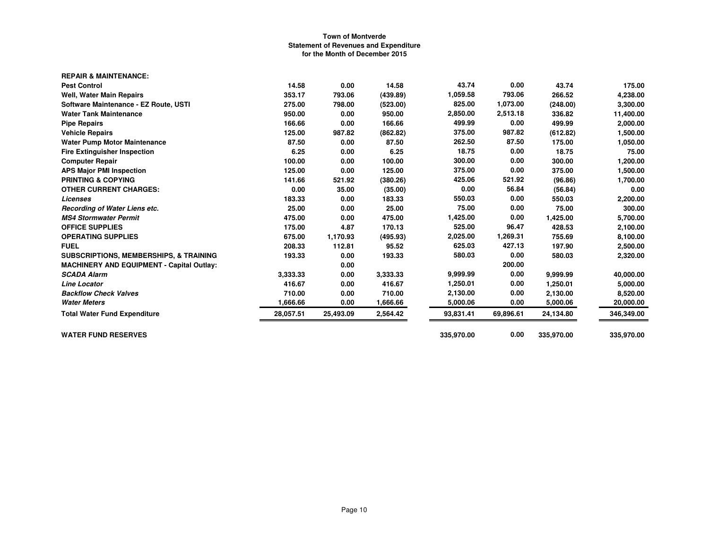| 43.74<br>0.00<br><b>Pest Control</b><br>14.58<br>0.00<br>14.58<br>43.74<br>1,059.58<br>793.06<br>353.17<br>793.06<br>(439.89)<br>266.52<br><b>Well, Water Main Repairs</b><br>825.00<br>1,073.00<br>798.00<br>Software Maintenance - EZ Route, USTI<br>275.00<br>(523.00)<br>(248.00)<br>2,850.00<br>2,513.18<br><b>Water Tank Maintenance</b><br>950.00<br>0.00<br>950.00<br>336.82<br>499.99<br>0.00<br>0.00<br>166.66<br>499.99<br>166.66<br><b>Pipe Repairs</b><br>987.82<br>375.00<br>125.00<br>987.82<br>(862.82)<br>(612.82)<br><b>Vehicle Repairs</b><br>262.50<br>87.50<br>87.50<br>0.00<br>87.50<br>175.00<br><b>Water Pump Motor Maintenance</b><br>18.75<br>0.00<br>6.25<br>6.25<br>18.75<br>0.00<br><b>Fire Extinguisher Inspection</b><br>300.00<br>0.00<br><b>Computer Repair</b><br>100.00<br>0.00<br>100.00<br>300.00<br>375.00<br>0.00<br>125.00<br>125.00<br>0.00<br>375.00<br><b>APS Major PMI Inspection</b><br>425.06<br>521.92<br><b>PRINTING &amp; COPYING</b><br>141.66<br>521.92<br>(380.26)<br>(96.86)<br>0.00<br>0.00<br><b>OTHER CURRENT CHARGES:</b><br>35.00<br>(35.00)<br>56.84<br>(56.84)<br>550.03<br>0.00<br>183.33<br>0.00<br>183.33<br>550.03<br><b>Licenses</b><br>0.00<br>25.00<br>75.00<br>Recording of Water Liens etc.<br>25.00<br>0.00<br>75.00<br>1,425.00<br>0.00<br><b>MS4 Stormwater Permit</b><br>475.00<br>0.00<br>475.00<br>1,425.00<br>525.00<br>96.47<br>4.87<br>170.13<br><b>OFFICE SUPPLIES</b><br>175.00<br>428.53<br>2,025.00<br>1,269.31<br><b>OPERATING SUPPLIES</b><br>675.00<br>1,170.93<br>(495.93)<br>755.69<br>625.03<br>427.13<br><b>FUEL</b><br>208.33<br>112.81<br>95.52<br>197.90<br>193.33<br>580.03<br>0.00<br>193.33<br>0.00<br>580.03<br><b>SUBSCRIPTIONS, MEMBERSHIPS, &amp; TRAINING</b><br>200.00<br>0.00<br><b>MACHINERY AND EQUIPMENT - Capital Outlay:</b><br>9,999.99<br>0.00<br><b>SCADA Alarm</b><br>3,333.33<br>0.00<br>3,333.33<br>9,999.99<br>0.00<br>416.67<br>1,250.01<br>416.67<br>0.00<br>1,250.01<br><b>Line Locator</b><br>2,130.00<br>0.00<br><b>Backflow Check Valves</b><br>710.00<br>710.00<br>2,130.00<br>0.00<br>1,666.66<br>1,666.66<br><b>Water Meters</b><br>0.00<br>0.00<br>5,000.06<br>5,000.06<br>28,057.51<br>25,493.09<br>2,564.42<br>93,831.41<br>69,896.61<br>24,134.80<br><b>Total Water Fund Expenditure</b> | <b>REPAIR &amp; MAINTENANCE:</b> |  |            |      |            |            |
|-------------------------------------------------------------------------------------------------------------------------------------------------------------------------------------------------------------------------------------------------------------------------------------------------------------------------------------------------------------------------------------------------------------------------------------------------------------------------------------------------------------------------------------------------------------------------------------------------------------------------------------------------------------------------------------------------------------------------------------------------------------------------------------------------------------------------------------------------------------------------------------------------------------------------------------------------------------------------------------------------------------------------------------------------------------------------------------------------------------------------------------------------------------------------------------------------------------------------------------------------------------------------------------------------------------------------------------------------------------------------------------------------------------------------------------------------------------------------------------------------------------------------------------------------------------------------------------------------------------------------------------------------------------------------------------------------------------------------------------------------------------------------------------------------------------------------------------------------------------------------------------------------------------------------------------------------------------------------------------------------------------------------------------------------------------------------------------------------------------------------------------------------------------------------------------------------------------------------------------------------------------------------------------------------------------------------|----------------------------------|--|------------|------|------------|------------|
|                                                                                                                                                                                                                                                                                                                                                                                                                                                                                                                                                                                                                                                                                                                                                                                                                                                                                                                                                                                                                                                                                                                                                                                                                                                                                                                                                                                                                                                                                                                                                                                                                                                                                                                                                                                                                                                                                                                                                                                                                                                                                                                                                                                                                                                                                                                         |                                  |  |            |      |            | 175.00     |
|                                                                                                                                                                                                                                                                                                                                                                                                                                                                                                                                                                                                                                                                                                                                                                                                                                                                                                                                                                                                                                                                                                                                                                                                                                                                                                                                                                                                                                                                                                                                                                                                                                                                                                                                                                                                                                                                                                                                                                                                                                                                                                                                                                                                                                                                                                                         |                                  |  |            |      |            | 4,238.00   |
|                                                                                                                                                                                                                                                                                                                                                                                                                                                                                                                                                                                                                                                                                                                                                                                                                                                                                                                                                                                                                                                                                                                                                                                                                                                                                                                                                                                                                                                                                                                                                                                                                                                                                                                                                                                                                                                                                                                                                                                                                                                                                                                                                                                                                                                                                                                         |                                  |  |            |      |            | 3,300.00   |
|                                                                                                                                                                                                                                                                                                                                                                                                                                                                                                                                                                                                                                                                                                                                                                                                                                                                                                                                                                                                                                                                                                                                                                                                                                                                                                                                                                                                                                                                                                                                                                                                                                                                                                                                                                                                                                                                                                                                                                                                                                                                                                                                                                                                                                                                                                                         |                                  |  |            |      |            | 11,400.00  |
|                                                                                                                                                                                                                                                                                                                                                                                                                                                                                                                                                                                                                                                                                                                                                                                                                                                                                                                                                                                                                                                                                                                                                                                                                                                                                                                                                                                                                                                                                                                                                                                                                                                                                                                                                                                                                                                                                                                                                                                                                                                                                                                                                                                                                                                                                                                         |                                  |  |            |      |            | 2,000.00   |
|                                                                                                                                                                                                                                                                                                                                                                                                                                                                                                                                                                                                                                                                                                                                                                                                                                                                                                                                                                                                                                                                                                                                                                                                                                                                                                                                                                                                                                                                                                                                                                                                                                                                                                                                                                                                                                                                                                                                                                                                                                                                                                                                                                                                                                                                                                                         |                                  |  |            |      |            | 1,500.00   |
|                                                                                                                                                                                                                                                                                                                                                                                                                                                                                                                                                                                                                                                                                                                                                                                                                                                                                                                                                                                                                                                                                                                                                                                                                                                                                                                                                                                                                                                                                                                                                                                                                                                                                                                                                                                                                                                                                                                                                                                                                                                                                                                                                                                                                                                                                                                         |                                  |  |            |      |            | 1,050.00   |
|                                                                                                                                                                                                                                                                                                                                                                                                                                                                                                                                                                                                                                                                                                                                                                                                                                                                                                                                                                                                                                                                                                                                                                                                                                                                                                                                                                                                                                                                                                                                                                                                                                                                                                                                                                                                                                                                                                                                                                                                                                                                                                                                                                                                                                                                                                                         |                                  |  |            |      |            | 75.00      |
|                                                                                                                                                                                                                                                                                                                                                                                                                                                                                                                                                                                                                                                                                                                                                                                                                                                                                                                                                                                                                                                                                                                                                                                                                                                                                                                                                                                                                                                                                                                                                                                                                                                                                                                                                                                                                                                                                                                                                                                                                                                                                                                                                                                                                                                                                                                         |                                  |  |            |      |            | 1,200.00   |
|                                                                                                                                                                                                                                                                                                                                                                                                                                                                                                                                                                                                                                                                                                                                                                                                                                                                                                                                                                                                                                                                                                                                                                                                                                                                                                                                                                                                                                                                                                                                                                                                                                                                                                                                                                                                                                                                                                                                                                                                                                                                                                                                                                                                                                                                                                                         |                                  |  |            |      |            | 1,500.00   |
|                                                                                                                                                                                                                                                                                                                                                                                                                                                                                                                                                                                                                                                                                                                                                                                                                                                                                                                                                                                                                                                                                                                                                                                                                                                                                                                                                                                                                                                                                                                                                                                                                                                                                                                                                                                                                                                                                                                                                                                                                                                                                                                                                                                                                                                                                                                         |                                  |  |            |      |            | 1,700.00   |
|                                                                                                                                                                                                                                                                                                                                                                                                                                                                                                                                                                                                                                                                                                                                                                                                                                                                                                                                                                                                                                                                                                                                                                                                                                                                                                                                                                                                                                                                                                                                                                                                                                                                                                                                                                                                                                                                                                                                                                                                                                                                                                                                                                                                                                                                                                                         |                                  |  |            |      |            | 0.00       |
|                                                                                                                                                                                                                                                                                                                                                                                                                                                                                                                                                                                                                                                                                                                                                                                                                                                                                                                                                                                                                                                                                                                                                                                                                                                                                                                                                                                                                                                                                                                                                                                                                                                                                                                                                                                                                                                                                                                                                                                                                                                                                                                                                                                                                                                                                                                         |                                  |  |            |      |            | 2,200.00   |
|                                                                                                                                                                                                                                                                                                                                                                                                                                                                                                                                                                                                                                                                                                                                                                                                                                                                                                                                                                                                                                                                                                                                                                                                                                                                                                                                                                                                                                                                                                                                                                                                                                                                                                                                                                                                                                                                                                                                                                                                                                                                                                                                                                                                                                                                                                                         |                                  |  |            |      |            | 300.00     |
|                                                                                                                                                                                                                                                                                                                                                                                                                                                                                                                                                                                                                                                                                                                                                                                                                                                                                                                                                                                                                                                                                                                                                                                                                                                                                                                                                                                                                                                                                                                                                                                                                                                                                                                                                                                                                                                                                                                                                                                                                                                                                                                                                                                                                                                                                                                         |                                  |  |            |      |            | 5,700.00   |
|                                                                                                                                                                                                                                                                                                                                                                                                                                                                                                                                                                                                                                                                                                                                                                                                                                                                                                                                                                                                                                                                                                                                                                                                                                                                                                                                                                                                                                                                                                                                                                                                                                                                                                                                                                                                                                                                                                                                                                                                                                                                                                                                                                                                                                                                                                                         |                                  |  |            |      |            | 2,100.00   |
|                                                                                                                                                                                                                                                                                                                                                                                                                                                                                                                                                                                                                                                                                                                                                                                                                                                                                                                                                                                                                                                                                                                                                                                                                                                                                                                                                                                                                                                                                                                                                                                                                                                                                                                                                                                                                                                                                                                                                                                                                                                                                                                                                                                                                                                                                                                         |                                  |  |            |      |            | 8,100.00   |
|                                                                                                                                                                                                                                                                                                                                                                                                                                                                                                                                                                                                                                                                                                                                                                                                                                                                                                                                                                                                                                                                                                                                                                                                                                                                                                                                                                                                                                                                                                                                                                                                                                                                                                                                                                                                                                                                                                                                                                                                                                                                                                                                                                                                                                                                                                                         |                                  |  |            |      |            | 2,500.00   |
|                                                                                                                                                                                                                                                                                                                                                                                                                                                                                                                                                                                                                                                                                                                                                                                                                                                                                                                                                                                                                                                                                                                                                                                                                                                                                                                                                                                                                                                                                                                                                                                                                                                                                                                                                                                                                                                                                                                                                                                                                                                                                                                                                                                                                                                                                                                         |                                  |  |            |      |            | 2,320.00   |
|                                                                                                                                                                                                                                                                                                                                                                                                                                                                                                                                                                                                                                                                                                                                                                                                                                                                                                                                                                                                                                                                                                                                                                                                                                                                                                                                                                                                                                                                                                                                                                                                                                                                                                                                                                                                                                                                                                                                                                                                                                                                                                                                                                                                                                                                                                                         |                                  |  |            |      |            |            |
|                                                                                                                                                                                                                                                                                                                                                                                                                                                                                                                                                                                                                                                                                                                                                                                                                                                                                                                                                                                                                                                                                                                                                                                                                                                                                                                                                                                                                                                                                                                                                                                                                                                                                                                                                                                                                                                                                                                                                                                                                                                                                                                                                                                                                                                                                                                         |                                  |  |            |      |            | 40,000.00  |
|                                                                                                                                                                                                                                                                                                                                                                                                                                                                                                                                                                                                                                                                                                                                                                                                                                                                                                                                                                                                                                                                                                                                                                                                                                                                                                                                                                                                                                                                                                                                                                                                                                                                                                                                                                                                                                                                                                                                                                                                                                                                                                                                                                                                                                                                                                                         |                                  |  |            |      |            | 5,000.00   |
|                                                                                                                                                                                                                                                                                                                                                                                                                                                                                                                                                                                                                                                                                                                                                                                                                                                                                                                                                                                                                                                                                                                                                                                                                                                                                                                                                                                                                                                                                                                                                                                                                                                                                                                                                                                                                                                                                                                                                                                                                                                                                                                                                                                                                                                                                                                         |                                  |  |            |      |            | 8,520.00   |
|                                                                                                                                                                                                                                                                                                                                                                                                                                                                                                                                                                                                                                                                                                                                                                                                                                                                                                                                                                                                                                                                                                                                                                                                                                                                                                                                                                                                                                                                                                                                                                                                                                                                                                                                                                                                                                                                                                                                                                                                                                                                                                                                                                                                                                                                                                                         |                                  |  |            |      |            | 20,000.00  |
|                                                                                                                                                                                                                                                                                                                                                                                                                                                                                                                                                                                                                                                                                                                                                                                                                                                                                                                                                                                                                                                                                                                                                                                                                                                                                                                                                                                                                                                                                                                                                                                                                                                                                                                                                                                                                                                                                                                                                                                                                                                                                                                                                                                                                                                                                                                         |                                  |  |            |      |            | 346,349.00 |
|                                                                                                                                                                                                                                                                                                                                                                                                                                                                                                                                                                                                                                                                                                                                                                                                                                                                                                                                                                                                                                                                                                                                                                                                                                                                                                                                                                                                                                                                                                                                                                                                                                                                                                                                                                                                                                                                                                                                                                                                                                                                                                                                                                                                                                                                                                                         | <b>WATER FUND RESERVES</b>       |  | 335,970.00 | 0.00 | 335,970.00 | 335,970.00 |